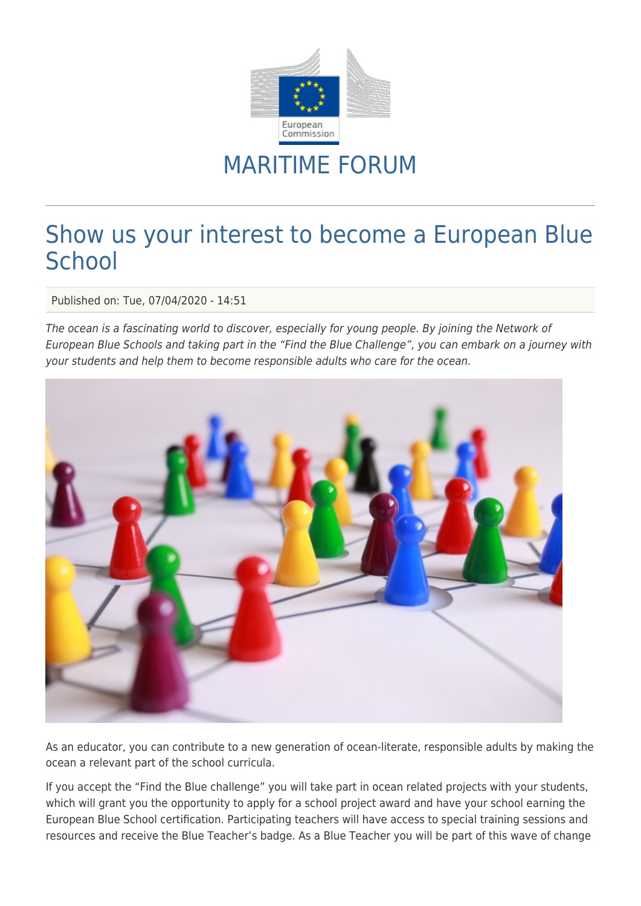

## MARITIME FORUM

## Show us your interest to become a European Blue **School**

Published on: Tue, 07/04/2020 - 14:51

The ocean is a fascinating world to discover, especially for young people. By joining the Network of European Blue Schools and taking part in the "Find the Blue Challenge", you can embark on a journey with your students and help them to become responsible adults who care for the ocean.



As an educator, you can contribute to a new generation of ocean-literate, responsible adults by making the ocean a relevant part of the school curricula.

If you accept the "Find the Blue challenge" you will take part in ocean related projects with your students, which will grant you the opportunity to apply for a school project award and have your school earning the European Blue School certification. Participating teachers will have access to special training sessions and resources and receive the Blue Teacher's badge. As a Blue Teacher you will be part of this wave of change